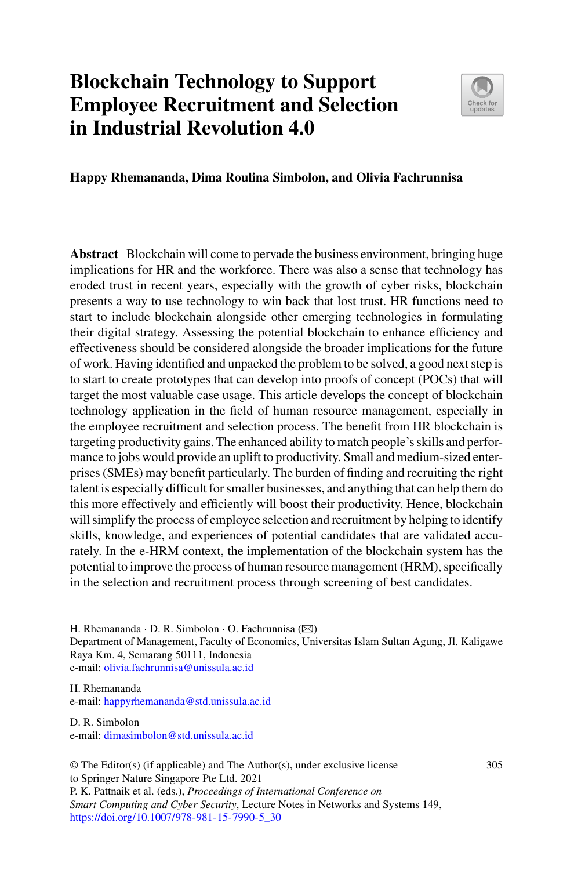# **Blockchain Technology to Support Employee Recruitment and Selection in Industrial Revolution 4.0**



#### **Happy Rhemananda, Dima Roulina Simbolon, and Olivia Fachrunnisa**

**Abstract** Blockchain will come to pervade the business environment, bringing huge implications for HR and the workforce. There was also a sense that technology has eroded trust in recent years, especially with the growth of cyber risks, blockchain presents a way to use technology to win back that lost trust. HR functions need to start to include blockchain alongside other emerging technologies in formulating their digital strategy. Assessing the potential blockchain to enhance efficiency and effectiveness should be considered alongside the broader implications for the future of work. Having identified and unpacked the problem to be solved, a good next step is to start to create prototypes that can develop into proofs of concept (POCs) that will target the most valuable case usage. This article develops the concept of blockchain technology application in the field of human resource management, especially in the employee recruitment and selection process. The benefit from HR blockchain is targeting productivity gains. The enhanced ability to match people's skills and performance to jobs would provide an uplift to productivity. Small and medium-sized enterprises (SMEs) may benefit particularly. The burden of finding and recruiting the right talent is especially difficult for smaller businesses, and anything that can help them do this more effectively and efficiently will boost their productivity. Hence, blockchain will simplify the process of employee selection and recruitment by helping to identify skills, knowledge, and experiences of potential candidates that are validated accurately. In the e-HRM context, the implementation of the blockchain system has the potential to improve the process of human resource management (HRM), specifically in the selection and recruitment process through screening of best candidates.

H. Rhemananda · D. R. Simbolon · O. Fachrunnisa ( $\boxtimes$ )

Department of Management, Faculty of Economics, Universitas Islam Sultan Agung, Jl. Kaligawe Raya Km. 4, Semarang 50111, Indonesia

e-mail: [olivia.fachrunnisa@unissula.ac.id](mailto:olivia.fachrunnisa@unissula.ac.id)

H. Rhemananda e-mail: [happyrhemananda@std.unissula.ac.id](mailto:happyrhemananda@std.unissula.ac.id)

D. R. Simbolon e-mail: [dimasimbolon@std.unissula.ac.id](mailto:dimasimbolon@std.unissula.ac.id)

to Springer Nature Singapore Pte Ltd. 2021

P. K. Pattnaik et al. (eds.), *Proceedings of International Conference on*

*Smart Computing and Cyber Security*, Lecture Notes in Networks and Systems 149, [https://doi.org/10.1007/978-981-15-7990-5\\_30](https://doi.org/10.1007/978-981-15-7990-5_30)

305

<sup>©</sup> The Editor(s) (if applicable) and The Author(s), under exclusive license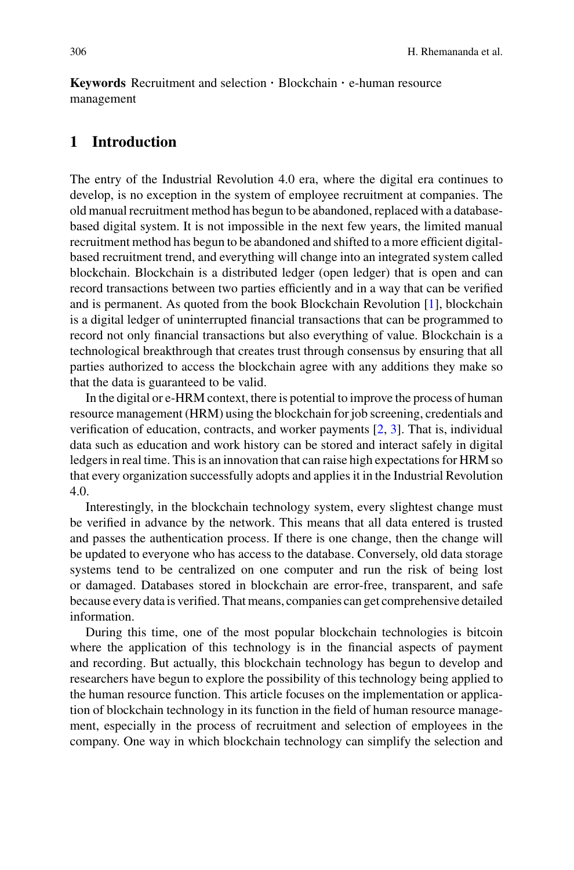**Keywords** Recruitment and selection · Blockchain · e-human resource management

# **1 Introduction**

The entry of the Industrial Revolution 4.0 era, where the digital era continues to develop, is no exception in the system of employee recruitment at companies. The old manual recruitment method has begun to be abandoned, replaced with a databasebased digital system. It is not impossible in the next few years, the limited manual recruitment method has begun to be abandoned and shifted to a more efficient digitalbased recruitment trend, and everything will change into an integrated system called blockchain. Blockchain is a distributed ledger (open ledger) that is open and can record transactions between two parties efficiently and in a way that can be verified and is permanent. As quoted from the book Blockchain Revolution [1], blockchain is a digital ledger of uninterrupted financial transactions that can be programmed to record not only financial transactions but also everything of value. Blockchain is a technological breakthrough that creates trust through consensus by ensuring that all parties authorized to access the blockchain agree with any additions they make so that the data is guaranteed to be valid.

In the digital or e-HRM context, there is potential to improve the process of human resource management (HRM) using the blockchain for job screening, credentials and verification of education, contracts, and worker payments [2, 3]. That is, individual data such as education and work history can be stored and interact safely in digital ledgers in real time. This is an innovation that can raise high expectations for HRM so that every organization successfully adopts and applies it in the Industrial Revolution 4.0.

Interestingly, in the blockchain technology system, every slightest change must be verified in advance by the network. This means that all data entered is trusted and passes the authentication process. If there is one change, then the change will be updated to everyone who has access to the database. Conversely, old data storage systems tend to be centralized on one computer and run the risk of being lost or damaged. Databases stored in blockchain are error-free, transparent, and safe because every data is verified. That means, companies can get comprehensive detailed information.

During this time, one of the most popular blockchain technologies is bitcoin where the application of this technology is in the financial aspects of payment and recording. But actually, this blockchain technology has begun to develop and researchers have begun to explore the possibility of this technology being applied to the human resource function. This article focuses on the implementation or application of blockchain technology in its function in the field of human resource management, especially in the process of recruitment and selection of employees in the company. One way in which blockchain technology can simplify the selection and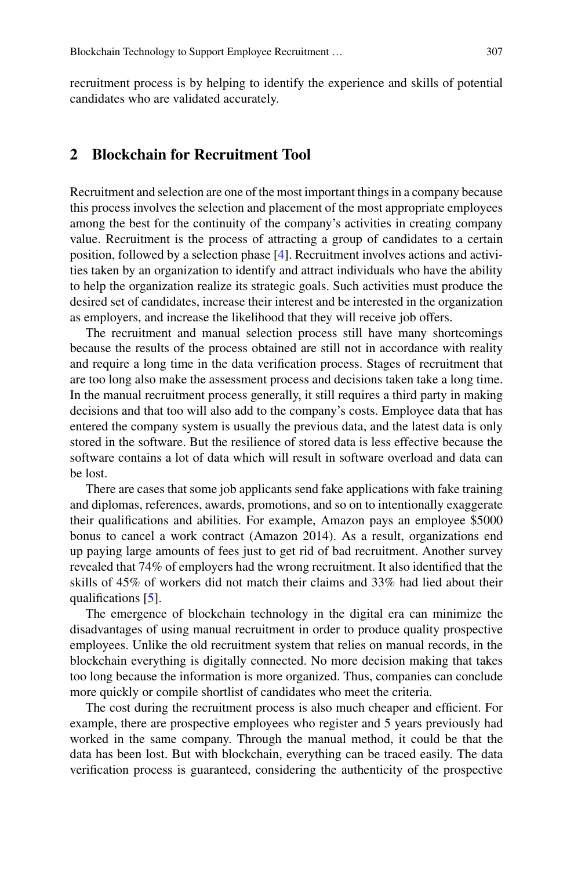recruitment process is by helping to identify the experience and skills of potential candidates who are validated accurately.

#### **2 Blockchain for Recruitment Tool**

Recruitment and selection are one of the most important things in a company because this process involves the selection and placement of the most appropriate employees among the best for the continuity of the company's activities in creating company value. Recruitment is the process of attracting a group of candidates to a certain position, followed by a selection phase [4]. Recruitment involves actions and activities taken by an organization to identify and attract individuals who have the ability to help the organization realize its strategic goals. Such activities must produce the desired set of candidates, increase their interest and be interested in the organization as employers, and increase the likelihood that they will receive job offers.

The recruitment and manual selection process still have many shortcomings because the results of the process obtained are still not in accordance with reality and require a long time in the data verification process. Stages of recruitment that are too long also make the assessment process and decisions taken take a long time. In the manual recruitment process generally, it still requires a third party in making decisions and that too will also add to the company's costs. Employee data that has entered the company system is usually the previous data, and the latest data is only stored in the software. But the resilience of stored data is less effective because the software contains a lot of data which will result in software overload and data can be lost.

There are cases that some job applicants send fake applications with fake training and diplomas, references, awards, promotions, and so on to intentionally exaggerate their qualifications and abilities. For example, Amazon pays an employee \$5000 bonus to cancel a work contract (Amazon 2014). As a result, organizations end up paying large amounts of fees just to get rid of bad recruitment. Another survey revealed that 74% of employers had the wrong recruitment. It also identified that the skills of 45% of workers did not match their claims and 33% had lied about their qualifications [5].

The emergence of blockchain technology in the digital era can minimize the disadvantages of using manual recruitment in order to produce quality prospective employees. Unlike the old recruitment system that relies on manual records, in the blockchain everything is digitally connected. No more decision making that takes too long because the information is more organized. Thus, companies can conclude more quickly or compile shortlist of candidates who meet the criteria.

The cost during the recruitment process is also much cheaper and efficient. For example, there are prospective employees who register and 5 years previously had worked in the same company. Through the manual method, it could be that the data has been lost. But with blockchain, everything can be traced easily. The data verification process is guaranteed, considering the authenticity of the prospective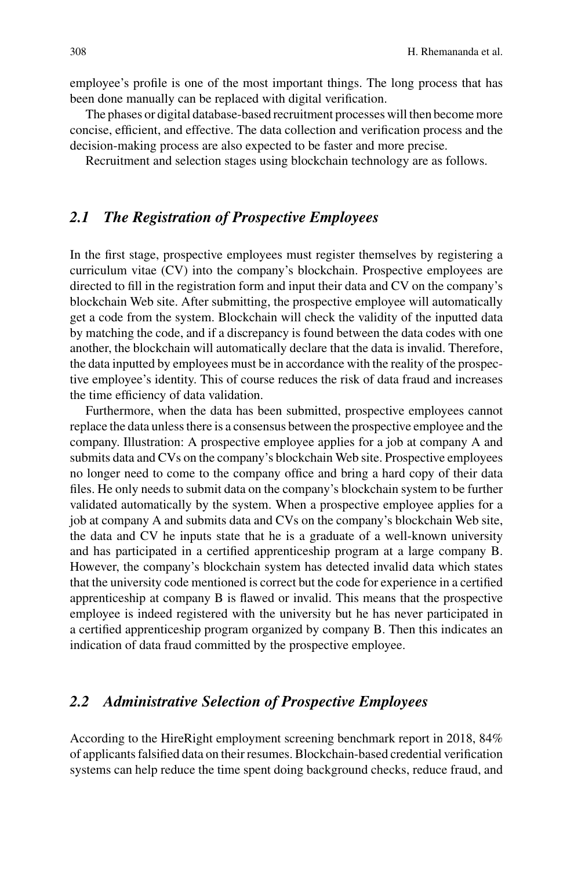employee's profile is one of the most important things. The long process that has been done manually can be replaced with digital verification.

The phases or digital database-based recruitment processes will then become more concise, efficient, and effective. The data collection and verification process and the decision-making process are also expected to be faster and more precise.

Recruitment and selection stages using blockchain technology are as follows.

#### *2.1 The Registration of Prospective Employees*

In the first stage, prospective employees must register themselves by registering a curriculum vitae (CV) into the company's blockchain. Prospective employees are directed to fill in the registration form and input their data and CV on the company's blockchain Web site. After submitting, the prospective employee will automatically get a code from the system. Blockchain will check the validity of the inputted data by matching the code, and if a discrepancy is found between the data codes with one another, the blockchain will automatically declare that the data is invalid. Therefore, the data inputted by employees must be in accordance with the reality of the prospective employee's identity. This of course reduces the risk of data fraud and increases the time efficiency of data validation.

Furthermore, when the data has been submitted, prospective employees cannot replace the data unless there is a consensus between the prospective employee and the company. Illustration: A prospective employee applies for a job at company A and submits data and CVs on the company's blockchain Web site. Prospective employees no longer need to come to the company office and bring a hard copy of their data files. He only needs to submit data on the company's blockchain system to be further validated automatically by the system. When a prospective employee applies for a job at company A and submits data and CVs on the company's blockchain Web site, the data and CV he inputs state that he is a graduate of a well-known university and has participated in a certified apprenticeship program at a large company B. However, the company's blockchain system has detected invalid data which states that the university code mentioned is correct but the code for experience in a certified apprenticeship at company B is flawed or invalid. This means that the prospective employee is indeed registered with the university but he has never participated in a certified apprenticeship program organized by company B. Then this indicates an indication of data fraud committed by the prospective employee.

# *2.2 Administrative Selection of Prospective Employees*

According to the HireRight employment screening benchmark report in 2018, 84% of applicants falsified data on their resumes. Blockchain-based credential verification systems can help reduce the time spent doing background checks, reduce fraud, and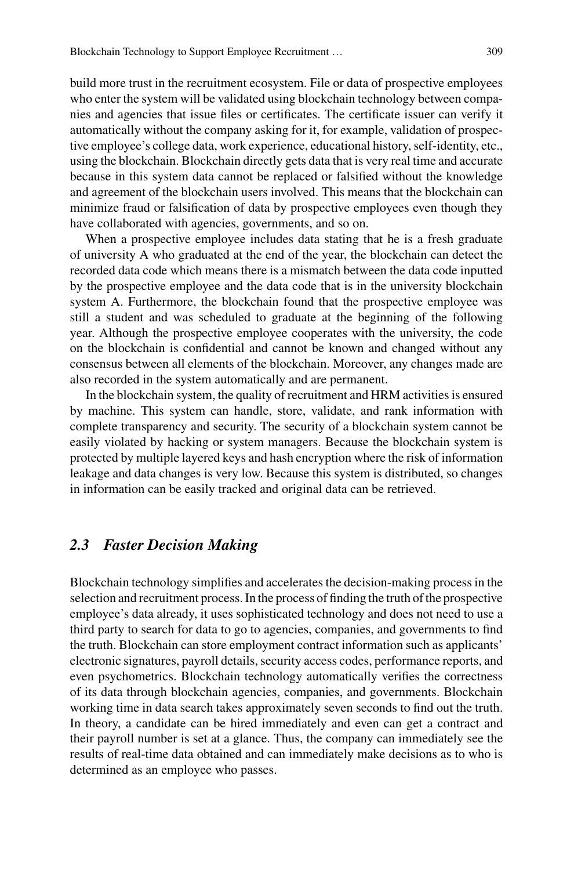build more trust in the recruitment ecosystem. File or data of prospective employees who enter the system will be validated using blockchain technology between companies and agencies that issue files or certificates. The certificate issuer can verify it automatically without the company asking for it, for example, validation of prospective employee's college data, work experience, educational history, self-identity, etc., using the blockchain. Blockchain directly gets data that is very real time and accurate because in this system data cannot be replaced or falsified without the knowledge and agreement of the blockchain users involved. This means that the blockchain can minimize fraud or falsification of data by prospective employees even though they have collaborated with agencies, governments, and so on.

When a prospective employee includes data stating that he is a fresh graduate of university A who graduated at the end of the year, the blockchain can detect the recorded data code which means there is a mismatch between the data code inputted by the prospective employee and the data code that is in the university blockchain system A. Furthermore, the blockchain found that the prospective employee was still a student and was scheduled to graduate at the beginning of the following year. Although the prospective employee cooperates with the university, the code on the blockchain is confidential and cannot be known and changed without any consensus between all elements of the blockchain. Moreover, any changes made are also recorded in the system automatically and are permanent.

In the blockchain system, the quality of recruitment and HRM activities is ensured by machine. This system can handle, store, validate, and rank information with complete transparency and security. The security of a blockchain system cannot be easily violated by hacking or system managers. Because the blockchain system is protected by multiple layered keys and hash encryption where the risk of information leakage and data changes is very low. Because this system is distributed, so changes in information can be easily tracked and original data can be retrieved.

# *2.3 Faster Decision Making*

Blockchain technology simplifies and accelerates the decision-making process in the selection and recruitment process. In the process of finding the truth of the prospective employee's data already, it uses sophisticated technology and does not need to use a third party to search for data to go to agencies, companies, and governments to find the truth. Blockchain can store employment contract information such as applicants' electronic signatures, payroll details, security access codes, performance reports, and even psychometrics. Blockchain technology automatically verifies the correctness of its data through blockchain agencies, companies, and governments. Blockchain working time in data search takes approximately seven seconds to find out the truth. In theory, a candidate can be hired immediately and even can get a contract and their payroll number is set at a glance. Thus, the company can immediately see the results of real-time data obtained and can immediately make decisions as to who is determined as an employee who passes.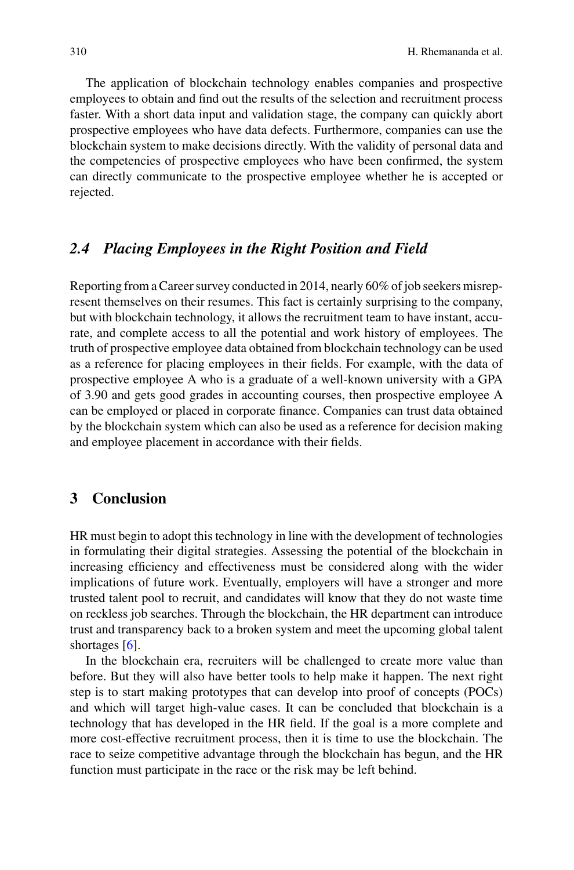The application of blockchain technology enables companies and prospective employees to obtain and find out the results of the selection and recruitment process faster. With a short data input and validation stage, the company can quickly abort prospective employees who have data defects. Furthermore, companies can use the blockchain system to make decisions directly. With the validity of personal data and the competencies of prospective employees who have been confirmed, the system can directly communicate to the prospective employee whether he is accepted or rejected.

### *2.4 Placing Employees in the Right Position and Field*

Reporting from a Career survey conducted in 2014, nearly 60% of job seekers misrepresent themselves on their resumes. This fact is certainly surprising to the company, but with blockchain technology, it allows the recruitment team to have instant, accurate, and complete access to all the potential and work history of employees. The truth of prospective employee data obtained from blockchain technology can be used as a reference for placing employees in their fields. For example, with the data of prospective employee A who is a graduate of a well-known university with a GPA of 3.90 and gets good grades in accounting courses, then prospective employee A can be employed or placed in corporate finance. Companies can trust data obtained by the blockchain system which can also be used as a reference for decision making and employee placement in accordance with their fields.

### **3 Conclusion**

HR must begin to adopt this technology in line with the development of technologies in formulating their digital strategies. Assessing the potential of the blockchain in increasing efficiency and effectiveness must be considered along with the wider implications of future work. Eventually, employers will have a stronger and more trusted talent pool to recruit, and candidates will know that they do not waste time on reckless job searches. Through the blockchain, the HR department can introduce trust and transparency back to a broken system and meet the upcoming global talent shortages [6].

In the blockchain era, recruiters will be challenged to create more value than before. But they will also have better tools to help make it happen. The next right step is to start making prototypes that can develop into proof of concepts (POCs) and which will target high-value cases. It can be concluded that blockchain is a technology that has developed in the HR field. If the goal is a more complete and more cost-effective recruitment process, then it is time to use the blockchain. The race to seize competitive advantage through the blockchain has begun, and the HR function must participate in the race or the risk may be left behind.